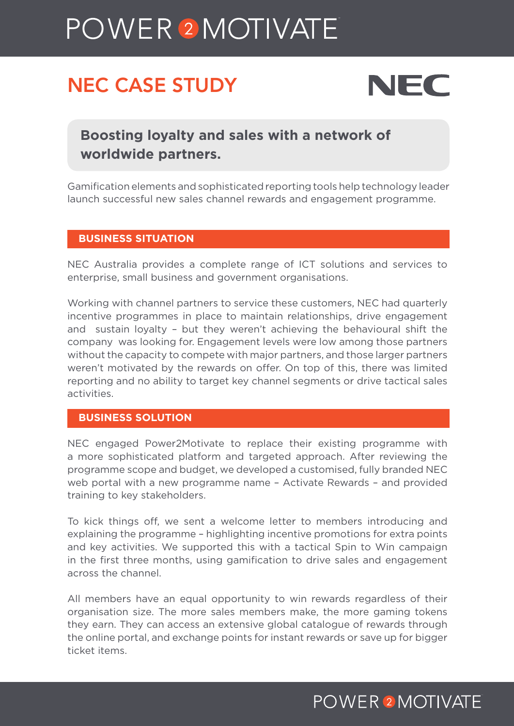# POWER<sup>2</sup>MOTIVATE

# NEC CASE STUDY



**Boosting loyalty and sales with a network of worldwide partners.**

Gamification elements and sophisticated reporting tools help technology leader launch successful new sales channel rewards and engagement programme.

#### **BUSINESS SITUATION**

NEC Australia provides a complete range of ICT solutions and services to enterprise, small business and government organisations.

Working with channel partners to service these customers, NEC had quarterly incentive programmes in place to maintain relationships, drive engagement and sustain loyalty – but they weren't achieving the behavioural shift the company was looking for. Engagement levels were low among those partners without the capacity to compete with major partners, and those larger partners weren't motivated by the rewards on offer. On top of this, there was limited reporting and no ability to target key channel segments or drive tactical sales activities.

#### **BUSINESS SOLUTION**

NEC engaged Power2Motivate to replace their existing programme with a more sophisticated platform and targeted approach. After reviewing the programme scope and budget, we developed a customised, fully branded NEC web portal with a new programme name – Activate Rewards – and provided training to key stakeholders.

To kick things off, we sent a welcome letter to members introducing and explaining the programme – highlighting incentive promotions for extra points and key activities. We supported this with a tactical Spin to Win campaign in the first three months, using gamification to drive sales and engagement across the channel.

All members have an equal opportunity to win rewards regardless of their organisation size. The more sales members make, the more gaming tokens they earn. They can access an extensive global catalogue of rewards through the online portal, and exchange points for instant rewards or save up for bigger ticket items.

## **POWER 2 MOTIVATE**